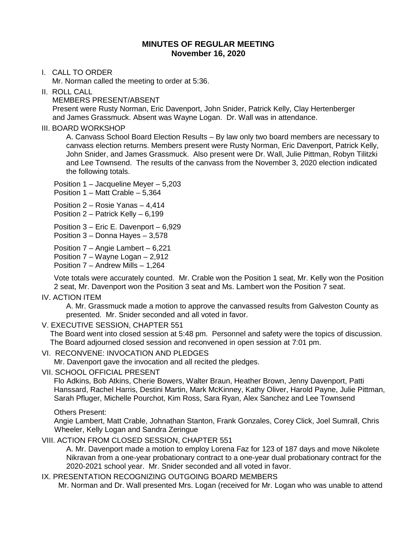# **MINUTES OF REGULAR MEETING November 16, 2020**

I. CALL TO ORDER

Mr. Norman called the meeting to order at 5:36.

II. ROLL CALL

MEMBERS PRESENT/ABSENT

 Present were Rusty Norman, Eric Davenport, John Snider, Patrick Kelly, Clay Hertenberger and James Grassmuck. Absent was Wayne Logan. Dr. Wall was in attendance.

#### III. BOARD WORKSHOP

A. Canvass School Board Election Results – By law only two board members are necessary to canvass election returns. Members present were Rusty Norman, Eric Davenport, Patrick Kelly, John Snider, and James Grassmuck. Also present were Dr. Wall, Julie Pittman, Robyn Tilitzki and Lee Townsend. The results of the canvass from the November 3, 2020 election indicated the following totals.

Position 1 – Jacqueline Meyer – 5,203

Position 1 – Matt Crable – 5,364

Position 2 – Rosie Yanas – 4,414

Position 2 – Patrick Kelly – 6,199

Position 3 – Eric E. Davenport – 6,929

Position 3 – Donna Hayes – 3,578

Position 7 – Angie Lambert – 6,221

Position 7 – Wayne Logan – 2,912

Position 7 – Andrew Mills – 1,264

Vote totals were accurately counted. Mr. Crable won the Position 1 seat, Mr. Kelly won the Position 2 seat, Mr. Davenport won the Position 3 seat and Ms. Lambert won the Position 7 seat.

#### IV. ACTION ITEM

A. Mr. Grassmuck made a motion to approve the canvassed results from Galveston County as presented. Mr. Snider seconded and all voted in favor.

## V. EXECUTIVE SESSION, CHAPTER 551

 The Board went into closed session at 5:48 pm. Personnel and safety were the topics of discussion. The Board adjourned closed session and reconvened in open session at 7:01 pm.

VI. RECONVENE: INVOCATION AND PLEDGES

Mr. Davenport gave the invocation and all recited the pledges.

VII. SCHOOL OFFICIAL PRESENT

Flo Adkins, Bob Atkins, Cherie Bowers, Walter Braun, Heather Brown, Jenny Davenport, Patti Hanssard, Rachel Harris, Destini Martin, Mark McKinney, Kathy Oliver, Harold Payne, Julie Pittman, Sarah Pfluger, Michelle Pourchot, Kim Ross, Sara Ryan, Alex Sanchez and Lee Townsend

## Others Present:

Angie Lambert, Matt Crable, Johnathan Stanton, Frank Gonzales, Corey Click, Joel Sumrall, Chris Wheeler, Kelly Logan and Sandra Zeringue

## VIII. ACTION FROM CLOSED SESSION, CHAPTER 551

A. Mr. Davenport made a motion to employ Lorena Faz for 123 of 187 days and move Nikolete Nikravan from a one-year probationary contract to a one-year dual probationary contract for the 2020-2021 school year. Mr. Snider seconded and all voted in favor.

## IX. PRESENTATION RECOGNIZING OUTGOING BOARD MEMBERS

Mr. Norman and Dr. Wall presented Mrs. Logan (received for Mr. Logan who was unable to attend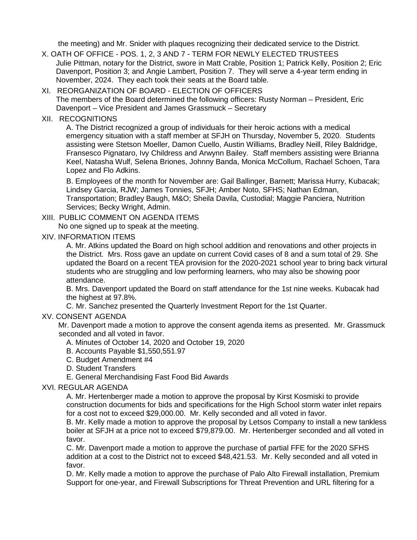the meeting) and Mr. Snider with plaques recognizing their dedicated service to the District.

- X. OATH OF OFFICE POS. 1, 2, 3 AND 7 TERM FOR NEWLY ELECTED TRUSTEES Julie Pittman, notary for the District, swore in Matt Crable, Position 1; Patrick Kelly, Position 2; Eric Davenport, Position 3; and Angie Lambert, Position 7. They will serve a 4-year term ending in November, 2024. They each took their seats at the Board table.
- XI. REORGANIZATION OF BOARD ELECTION OF OFFICERS The members of the Board determined the following officers: Rusty Norman – President, Eric Davenport – Vice President and James Grassmuck – Secretary
- XII. RECOGNITIONS

A. The District recognized a group of individuals for their heroic actions with a medical emergency situation with a staff member at SFJH on Thursday, November 5, 2020. Students assisting were Stetson Moeller, Damon Cuello, Austin Williams, Bradley Neill, Riley Baldridge, Fransesco Pignataro, Ivy Childress and Arwynn Bailey. Staff members assisting were Brianna Keel, Natasha Wulf, Selena Briones, Johnny Banda, Monica McCollum, Rachael Schoen, Tara Lopez and Flo Adkins.

B. Employees of the month for November are: Gail Ballinger, Barnett; Marissa Hurry, Kubacak; Lindsey Garcia, RJW; James Tonnies, SFJH; Amber Noto, SFHS; Nathan Edman, Transportation; Bradley Baugh, M&O; Sheila Davila, Custodial; Maggie Panciera, Nutrition Services; Becky Wright, Admin.

#### XIII. PUBLIC COMMENT ON AGENDA ITEMS

No one signed up to speak at the meeting.

#### XIV. INFORMATION ITEMS

A. Mr. Atkins updated the Board on high school addition and renovations and other projects in the District. Mrs. Ross gave an update on current Covid cases of 8 and a sum total of 29. She updated the Board on a recent TEA provision for the 2020-2021 school year to bring back virtural students who are struggling and low performing learners, who may also be showing poor attendance.

B. Mrs. Davenport updated the Board on staff attendance for the 1st nine weeks. Kubacak had the highest at 97.8%.

C. Mr. Sanchez presented the Quarterly Investment Report for the 1st Quarter.

## XV. CONSENT AGENDA

 Mr. Davenport made a motion to approve the consent agenda items as presented. Mr. Grassmuck seconded and all voted in favor.

- A. Minutes of October 14, 2020 and October 19, 2020
- B. Accounts Payable \$1,550,551.97
- C. Budget Amendment #4
- D. Student Transfers
- E. General Merchandising Fast Food Bid Awards

## XVI. REGULAR AGENDA

A. Mr. Hertenberger made a motion to approve the proposal by Kirst Kosmiski to provide construction documents for bids and specifications for the High School storm water inlet repairs for a cost not to exceed \$29,000.00. Mr. Kelly seconded and all voted in favor.

B. Mr. Kelly made a motion to approve the proposal by Letsos Company to install a new tankless boiler at SFJH at a price not to exceed \$79,879.00. Mr. Hertenberger seconded and all voted in favor.

C. Mr. Davenport made a motion to approve the purchase of partial FFE for the 2020 SFHS addition at a cost to the District not to exceed \$48,421.53. Mr. Kelly seconded and all voted in favor.

D. Mr. Kelly made a motion to approve the purchase of Palo Alto Firewall installation, Premium Support for one-year, and Firewall Subscriptions for Threat Prevention and URL filtering for a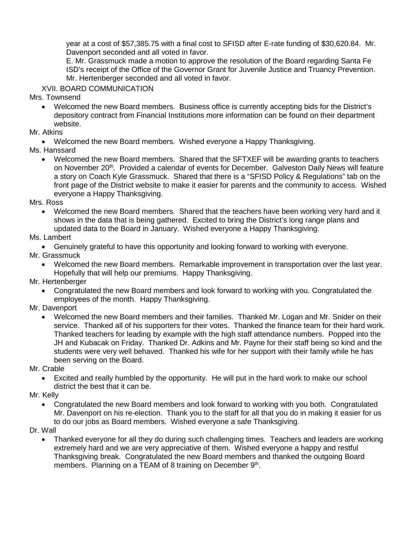year at a cost of \$57,385.75 with a final cost to SFISD after E-rate funding of \$30,620.84. Mr. Davenport seconded and all voted in favor.

E. Mr. Grassmuck made a motion to approve the resolution of the Board regarding Santa Fe ISD's receipt of the Office of the Governor Grant for Juvenile Justice and Truancy Prevention. Mr. Hertenberger seconded and all voted in favor.

XVII. BOARD COMMUNICATION

Mrs. Townsend

- Welcomed the new Board members. Business office is currently accepting bids for the District's depository contract from Financial Institutions more information can be found on their department website.
- Mr. Atkins

• Welcomed the new Board members. Wished everyone a Happy Thanksgiving.

Ms. Hanssard

• Welcomed the new Board members. Shared that the SFTXEF will be awarding grants to teachers on November 20<sup>th</sup>. Provided a calendar of events for December. Galveston Daily News will feature a story on Coach Kyle Grassmuck. Shared that there is a "SFISD Policy & Regulations" tab on the front page of the District website to make it easier for parents and the community to access. Wished everyone a Happy Thanksgiving.

Mrs. Ross

• Welcomed the new Board members. Shared that the teachers have been working very hard and it shows in the data that is being gathered. Excited to bring the District's long range plans and updated data to the Board in January. Wished everyone a Happy Thanksgiving.

Ms. Lambert

• Genuinely grateful to have this opportunity and looking forward to working with everyone.

Mr. Grassmuck

- Welcomed the new Board members. Remarkable improvement in transportation over the last year. Hopefully that will help our premiums. Happy Thanksgiving.
- Mr. Hertenberger
	- Congratulated the new Board members and look forward to working with you. Congratulated the employees of the month. Happy Thanksgiving.
- Mr. Davenport
	- Welcomed the new Board members and their families. Thanked Mr. Logan and Mr. Snider on their service. Thanked all of his supporters for their votes. Thanked the finance team for their hard work. Thanked teachers for leading by example with the high staff attendance numbers. Popped into the JH and Kubacak on Friday. Thanked Dr. Adkins and Mr. Payne for their staff being so kind and the students were very well behaved. Thanked his wife for her support with their family while he has been serving on the Board.

Mr. Crable

• Excited and really humbled by the opportunity. He will put in the hard work to make our school district the best that it can be.

Mr. Kelly

• Congratulated the new Board members and look forward to working with you both. Congratulated Mr. Davenport on his re-election. Thank you to the staff for all that you do in making it easier for us to do our jobs as Board members. Wished everyone a safe Thanksgiving.

Dr. Wall

• Thanked everyone for all they do during such challenging times. Teachers and leaders are working extremely hard and we are very appreciative of them. Wished everyone a happy and restful Thanksgiving break. Congratulated the new Board members and thanked the outgoing Board members. Planning on a TEAM of 8 training on December 9th.